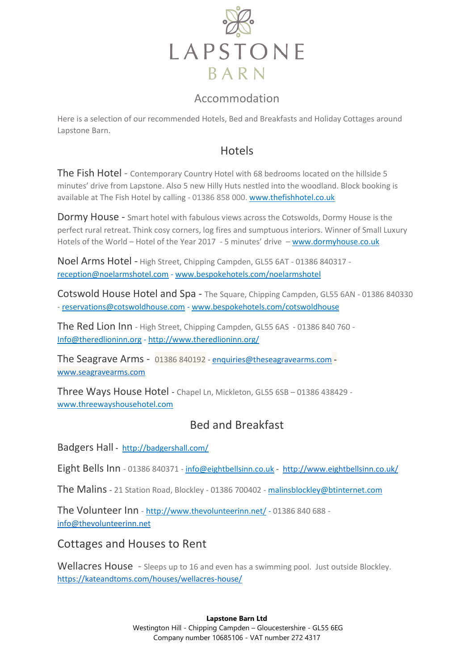

## Accommodation

Here is a selection of our recommended Hotels, Bed and Breakfasts and Holiday Cottages around Lapstone Barn.

## Hotels

The Fish Hotel - Contemporary Country Hotel with 68 bedrooms located on the hillside 5 minutes' drive from Lapstone. Also 5 new Hilly Huts nestled into the woodland. Block booking is available at The Fish Hotel by calling - 01386 858 000. [www.thefishhotel.co.uk](http://www.thefishhotel.co.uk/)

Dormy House - Smart hotel with fabulous views across the Cotswolds, Dormy House is the perfect rural retreat. Think cosy corners, log fires and sumptuous interiors. Winner of Small Luxury Hotels of the World – Hotel of the Year 2017 - 5 minutes' drive – [www.dormyhouse.co.uk](http://www.dormyhouse.co.uk/)

Noel Arms Hotel - High Street, Chipping Campden, GL55 6AT - 01386 840317 [reception@noelarmshotel.com](mailto:reception@noelarmshotel.com) - [www.bespokehotels.com/noelarmshotel](http://www.bespokehotels.com/noelarmshotel)

Cotswold House Hotel and Spa - The Square, Chipping Campden, GL55 6AN - 01386 840330 - [reservations@cotswoldhouse.com](mailto:reservations@cotswoldhouse.com) - [www.bespokehotels.com/cotswoldhouse](http://www.bespokehotels.com/cotswoldhouse)

The Red Lion Inn - High Street, Chipping Campden, GL55 6AS - 01386 840 760 - [Info@theredlioninn.org](mailto:Info@theredlioninn.org) - <http://www.theredlioninn.org/>

The Seagrave Arms - 01386 840192 - [enquiries@theseagravearms.com](mailto:enquiries@theseagravearms.com)  [www.seagravearms.com](http://www.seagravearms.com/)

Three Ways House Hotel - Chapel Ln, Mickleton, GL55 6SB – 01386 438429 [www.threewayshousehotel.com](http://www.threewayshousehotel.com/)

# Bed and Breakfast

Badgers Hall - <http://badgershall.com/>

Eight Bells Inn - 01386 840371 - [info@eightbellsinn.co.uk](mailto:info@eightbellsinn.co.uk) - <http://www.eightbellsinn.co.uk/>

The Malins - 21 Station Road, Blockley - 01386 700402 - [malinsblockley@btinternet.com](mailto:malinsblockley@btinternet.com)

The Volunteer Inn - <http://www.thevolunteerinn.net/> - 01386 840 688 [info@thevolunteerinn.net](mailto:info@thevolunteerinn.net)

Cottages and Houses to Rent

Wellacres House - Sleeps up to 16 and even has a swimming pool. Just outside Blockley. <https://kateandtoms.com/houses/wellacres-house/>

#### **Lapstone Barn Ltd**

Westington Hill - Chipping Campden – Gloucestershire - GL55 6EG Company number 10685106 - VAT number 272 4317